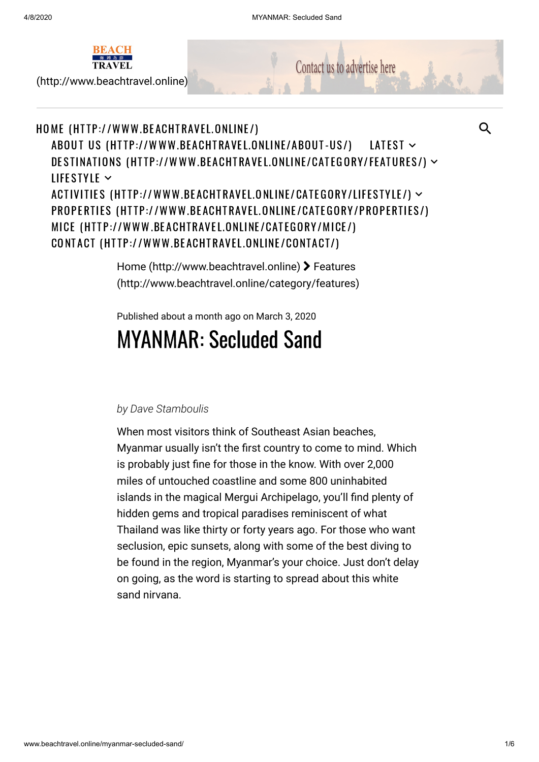

[\(http://www.beachtravel.online\)](http://www.beachtravel.online/)

Contact us to advertise here

## HOME (HT <sup>T</sup> [P://WWW.BE](http://www.beachtravel.online/) ACHTRAVE L.ONLINE /) ABOUT US (HTT[P://WWW.BE](http://www.beachtravel.online/about-us/)ACHTRAVEL.ONLINE/ABOUT-US/) DESTINATIONS (HTT[P://WWW.BE](http://www.beachtravel.online/category/features/)ACHTRAVEL.ONLINE/CATEGORY/FEATURES/) ~ LIFESTYLE  $\sim$ ACTIVITIES (HTT[P://WWW.BE](http://www.beachtravel.online/category/lifestyle/)ACHTRAVEL.ONLINE/CATEGORY/LIFESTYLE/) ~ PROPERTIES (HTTP://WWW.BEACHTRAVEL.ONLINE/CAT[EGORY/PROPE](http://www.beachtravel.online/category/properties/)RTIES/) MICE (HTTP://WWW.BEACHTRAVEL.ONLINE/CAT[EGORY/MICE](http://www.beachtravel.online/category/mice/)/) CONTACT (HTTP[://WWW.BE](http://www.beachtravel.online/contact/)ACHTRAVEL.ONLINE/CONTACT/) LATEST  $\sim$

[Home \(http://www.beachtravel.online\)](http://www.beachtravel.online/) > Features [\(http://www.beachtravel.online/category/features\)](http://www.beachtravel.online/category/features)

Published about a month ago on March 3, 2020

# MYANMAR: Secluded Sand

## *by Dave Stamboulis*

When most visitors think of Southeast Asian beaches, Myanmar usually isn't the first country to come to mind. Which is probably just fine for those in the know. With over 2,000 miles of untouched coastline and some 800 uninhabited islands in the magical Mergui Archipelago, you'll find plenty of hidden gems and tropical paradises reminiscent of what Thailand was like thirty or forty years ago. For those who want seclusion, epic sunsets, along with some of the best diving to be found in the region, Myanmar's your choice. Just don't delay on going, as the word is starting to spread about this white sand nirvana.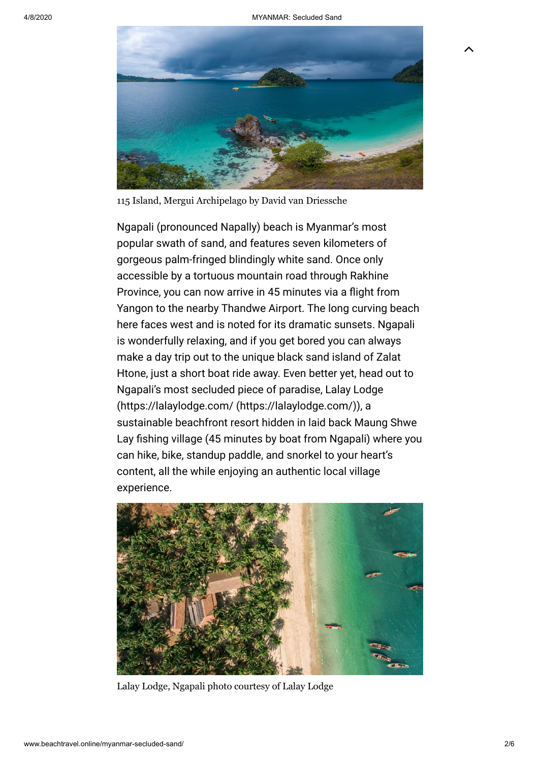$\lambda$ 



115 Island, Mergui Archipelago by David van Driessche

Ngapali (pronounced Napally) beach is Myanmar's most popular swath of sand, and features seven kilometers of gorgeous palm-fringed blindingly white sand. Once only accessible by a tortuous mountain road through Rakhine Province, you can now arrive in 45 minutes via a flight from Yangon to the nearby Thandwe Airport. The long curving beach here faces west and is noted for its dramatic sunsets. Ngapali is wonderfully relaxing, and if you get bored you can always make a day trip out to the unique black sand island of Zalat Htone, just a short boat ride away. Even better yet, head out to Ngapali's most secluded piece of paradise, Lalay Lodge [\(https://lalaylodge.com/ \(https://lalaylodge.com/\)\)](https://lalaylodge.com/), a sustainable beachfront resort hidden in laid back Maung Shwe Lay fishing village (45 minutes by boat from Ngapali) where you can hike, bike, standup paddle, and snorkel to your heart's content, all the while enjoying an authentic local village experience.



Lalay Lodge, Ngapali photo courtesy of Lalay Lodge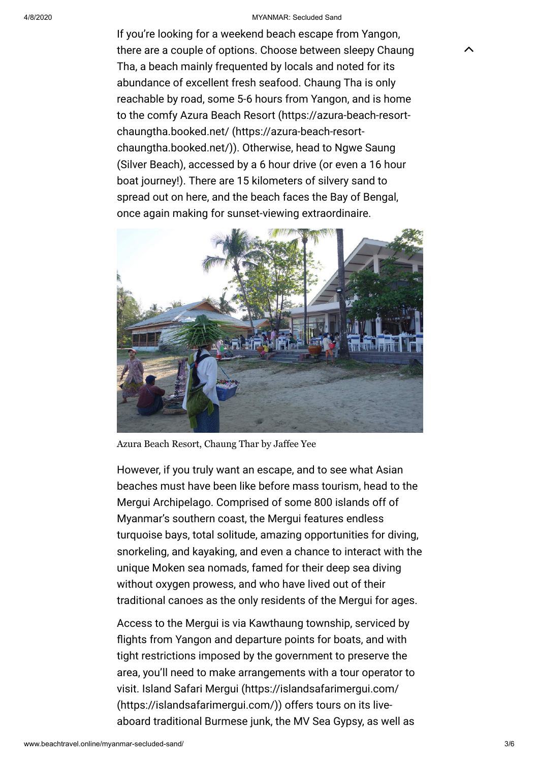#### 4/8/2020 MYANMAR: Secluded Sand

 $\lambda$ 

If you're looking for a weekend beach escape from Yangon, there are a couple of options. Choose between sleepy Chaung Tha, a beach mainly frequented by locals and noted for its abundance of excellent fresh seafood. Chaung Tha is only reachable by road, some 5-6 hours from Yangon, and is home [to the comfy Azura Beach Resort \(https://azura-beach-resort](https://azura-beach-resort-chaungtha.booked.net/)chaungtha.booked.net/ (https://azura-beach-resortchaungtha.booked.net/)). Otherwise, head to Ngwe Saung (Silver Beach), accessed by a 6 hour drive (or even a 16 hour boat journey!). There are 15 kilometers of silvery sand to spread out on here, and the beach faces the Bay of Bengal, once again making for sunset-viewing extraordinaire.



Azura Beach Resort, Chaung Thar by Jaffee Yee

However, if you truly want an escape, and to see what Asian beaches must have been like before mass tourism, head to the Mergui Archipelago. Comprised of some 800 islands off of Myanmar's southern coast, the Mergui features endless turquoise bays, total solitude, amazing opportunities for diving, snorkeling, and kayaking, and even a chance to interact with the unique Moken sea nomads, famed for their deep sea diving without oxygen prowess, and who have lived out of their traditional canoes as the only residents of the Mergui for ages.

Access to the Mergui is via Kawthaung township, serviced by flights from Yangon and departure points for boats, and with tight restrictions imposed by the government to preserve the area, you'll need to make arrangements with a tour operator to [visit. Island Safari Mergui \(https://islandsafarimergui.com/](https://islandsafarimergui.com/) (https://islandsafarimergui.com/)) offers tours on its liveaboard traditional Burmese junk, the MV Sea Gypsy, as well as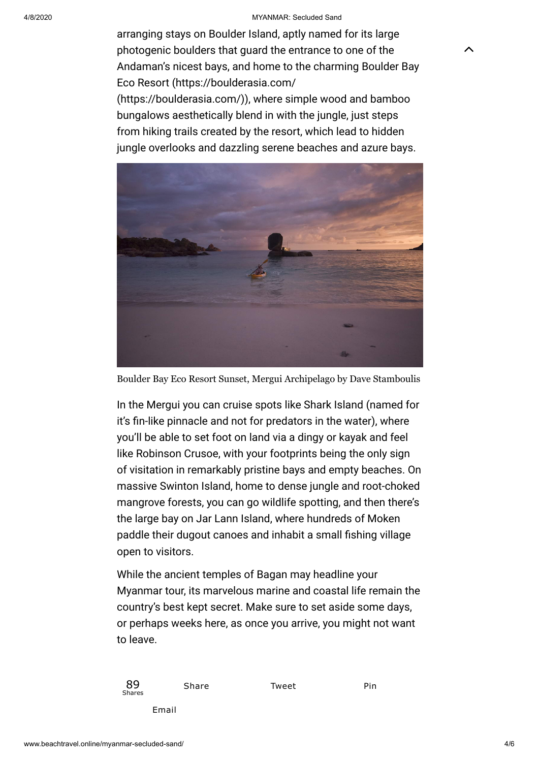#### 4/8/2020 MYANMAR: Secluded Sand

 $\lambda$ 

arranging stays on Boulder Island, aptly named for its large photogenic boulders that guard the entrance to one of the Andaman's nicest bays, and home to the charming Boulder Bay Eco Resort (https://boulderasia.com/ [\(https://boulderasia.com/\)\), where sim](https://boulderasia.com/)ple wood and bamboo bungalows aesthetically blend in with the jungle, just steps from hiking trails created by the resort, which lead to hidden jungle overlooks and dazzling serene beaches and azure bays.



Boulder Bay Eco Resort Sunset, Mergui Archipelago by Dave Stamboulis

In the Mergui you can cruise spots like Shark Island (named for it's fin-like pinnacle and not for predators in the water), where you'll be able to set foot on land via a dingy or kayak and feel like Robinson Crusoe, with your footprints being the only sign of visitation in remarkably pristine bays and empty beaches. On massive Swinton Island, home to dense jungle and root-choked mangrove forests, you can go wildlife spotting, and then there's the large bay on Jar Lann Island, where hundreds of Moken paddle their dugout canoes and inhabit a small fishing village open to visitors.

While the ancient temples of Bagan may headline your Myanmar tour, its marvelous marine and coastal life remain the country's best kept secret. Make sure to set aside some days, or perhaps weeks here, as once you arrive, you might not want to leave.



Share Tweet Pin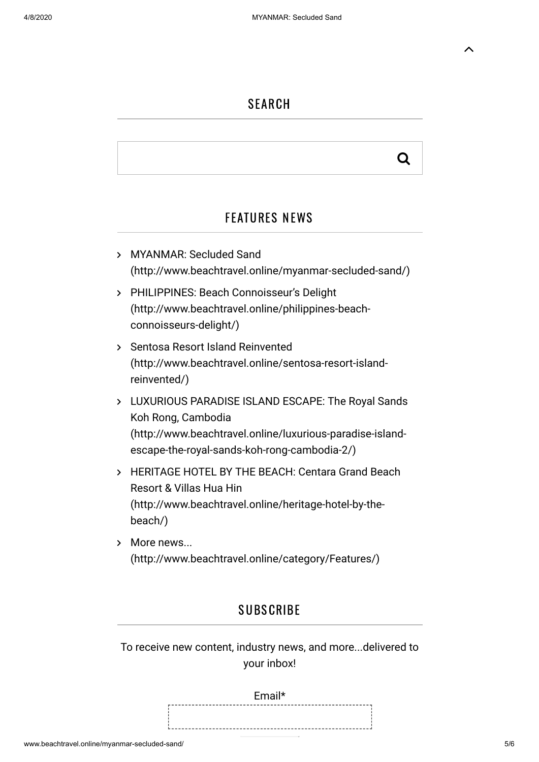## **SEARCH**

# Q

# FEATURES NEWS

- MYANMAR: Secluded Sand [\(http://www.beachtravel.online/myanmar-secluded-sand/\)](http://www.beachtravel.online/myanmar-secluded-sand/)
- PHILIPPINES: Beach Connoisseur's Delight [\(http://www.beachtravel.online/philippines-beach](http://www.beachtravel.online/philippines-beach-connoisseurs-delight/)connoisseurs-delight/)
- > Sentosa Resort Island Reinvented [\(http://www.beachtravel.online/sentosa-resort-island](http://www.beachtravel.online/sentosa-resort-island-reinvented/)reinvented/)
- [LUXURIOUS PARADISE ISLAND ESCAPE: The Royal Sands](http://www.beachtravel.online/luxurious-paradise-island-escape-the-royal-sands-koh-rong-cambodia-2/) Koh Rong, Cambodia (http://www.beachtravel.online/luxurious-paradise-islandescape-the-royal-sands-koh-rong-cambodia-2/)
- > [HERITAGE HOTEL BY THE BEACH: Centara Grand Beach](http://www.beachtravel.online/heritage-hotel-by-the-beach/) Resort & Villas Hua Hin (http://www.beachtravel.online/heritage-hotel-by-thebeach/)
- More news... [\(http://www.beachtravel.online/category/Features/\)](http://www.beachtravel.online/category/Features/)

# **SUBSCRIBE**

To receive new content, industry news, and more...delivered to your inbox!

> Email\* 이 사이 시간 사이에 대한 사이에 대한 사이에 대한 사이에 대한 사이를 받았다.